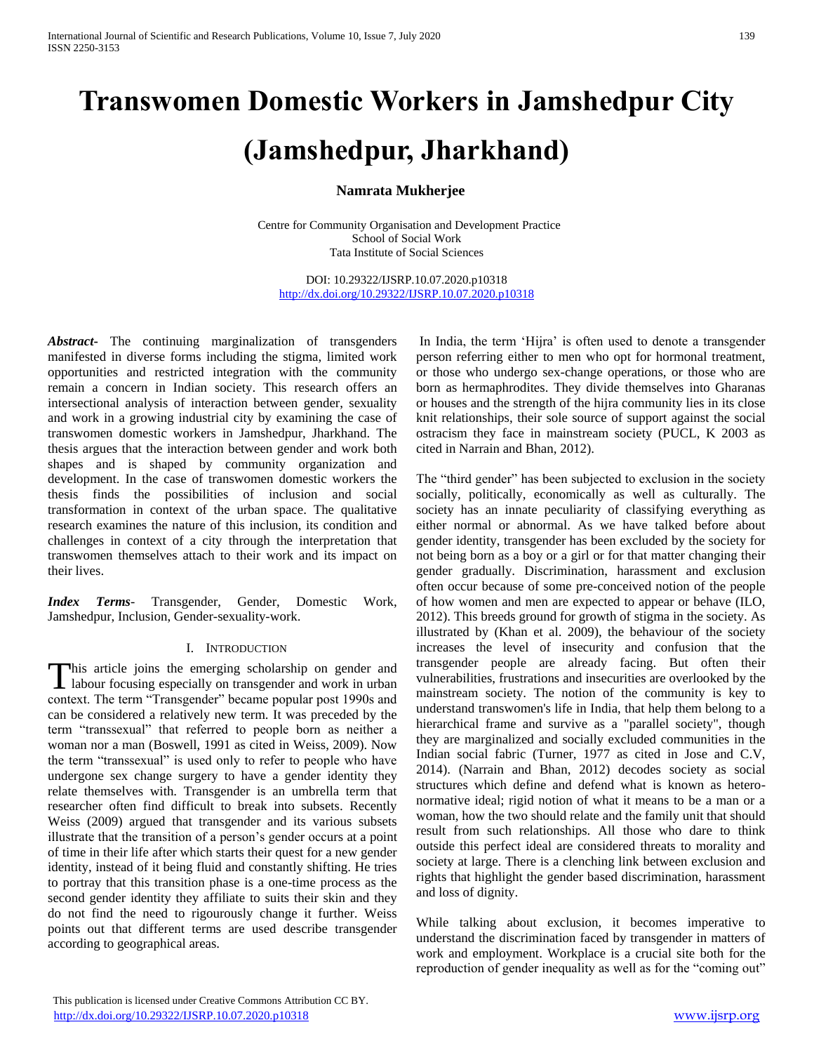# **Transwomen Domestic Workers in Jamshedpur City**

## **(Jamshedpur, Jharkhand)**

## **Namrata Mukherjee**

Centre for Community Organisation and Development Practice School of Social Work Tata Institute of Social Sciences

DOI: 10.29322/IJSRP.10.07.2020.p10318 <http://dx.doi.org/10.29322/IJSRP.10.07.2020.p10318>

*Abstract***-** The continuing marginalization of transgenders manifested in diverse forms including the stigma, limited work opportunities and restricted integration with the community remain a concern in Indian society. This research offers an intersectional analysis of interaction between gender, sexuality and work in a growing industrial city by examining the case of transwomen domestic workers in Jamshedpur, Jharkhand. The thesis argues that the interaction between gender and work both shapes and is shaped by community organization and development. In the case of transwomen domestic workers the thesis finds the possibilities of inclusion and social transformation in context of the urban space. The qualitative research examines the nature of this inclusion, its condition and challenges in context of a city through the interpretation that transwomen themselves attach to their work and its impact on their lives.

*Index Terms*- Transgender, Gender, Domestic Work, Jamshedpur, Inclusion, Gender-sexuality-work.

### I. INTRODUCTION

his article joins the emerging scholarship on gender and This article joins the emerging scholarship on gender and labour focusing especially on transgender and work in urban context. The term "Transgender" became popular post 1990s and can be considered a relatively new term. It was preceded by the term "transsexual" that referred to people born as neither a woman nor a man (Boswell, 1991 as cited in Weiss, 2009). Now the term "transsexual" is used only to refer to people who have undergone sex change surgery to have a gender identity they relate themselves with. Transgender is an umbrella term that researcher often find difficult to break into subsets. Recently Weiss (2009) argued that transgender and its various subsets illustrate that the transition of a person's gender occurs at a point of time in their life after which starts their quest for a new gender identity, instead of it being fluid and constantly shifting. He tries to portray that this transition phase is a one-time process as the second gender identity they affiliate to suits their skin and they do not find the need to rigourously change it further. Weiss points out that different terms are used describe transgender according to geographical areas.

In India, the term 'Hijra' is often used to denote a transgender person referring either to men who opt for hormonal treatment, or those who undergo sex-change operations, or those who are born as hermaphrodites. They divide themselves into Gharanas or houses and the strength of the hijra community lies in its close knit relationships, their sole source of support against the social ostracism they face in mainstream society (PUCL, K 2003 as cited in Narrain and Bhan, 2012).

The "third gender" has been subjected to exclusion in the society socially, politically, economically as well as culturally. The society has an innate peculiarity of classifying everything as either normal or abnormal. As we have talked before about gender identity, transgender has been excluded by the society for not being born as a boy or a girl or for that matter changing their gender gradually. Discrimination, harassment and exclusion often occur because of some pre-conceived notion of the people of how women and men are expected to appear or behave (ILO, 2012). This breeds ground for growth of stigma in the society. As illustrated by (Khan et al. 2009), the behaviour of the society increases the level of insecurity and confusion that the transgender people are already facing. But often their vulnerabilities, frustrations and insecurities are overlooked by the mainstream society. The notion of the community is key to understand transwomen's life in India, that help them belong to a hierarchical frame and survive as a "parallel society", though they are marginalized and socially excluded communities in the Indian social fabric (Turner, 1977 as cited in Jose and C.V, 2014). (Narrain and Bhan, 2012) decodes society as social structures which define and defend what is known as heteronormative ideal; rigid notion of what it means to be a man or a woman, how the two should relate and the family unit that should result from such relationships. All those who dare to think outside this perfect ideal are considered threats to morality and society at large. There is a clenching link between exclusion and rights that highlight the gender based discrimination, harassment and loss of dignity.

While talking about exclusion, it becomes imperative to understand the discrimination faced by transgender in matters of work and employment. Workplace is a crucial site both for the reproduction of gender inequality as well as for the "coming out"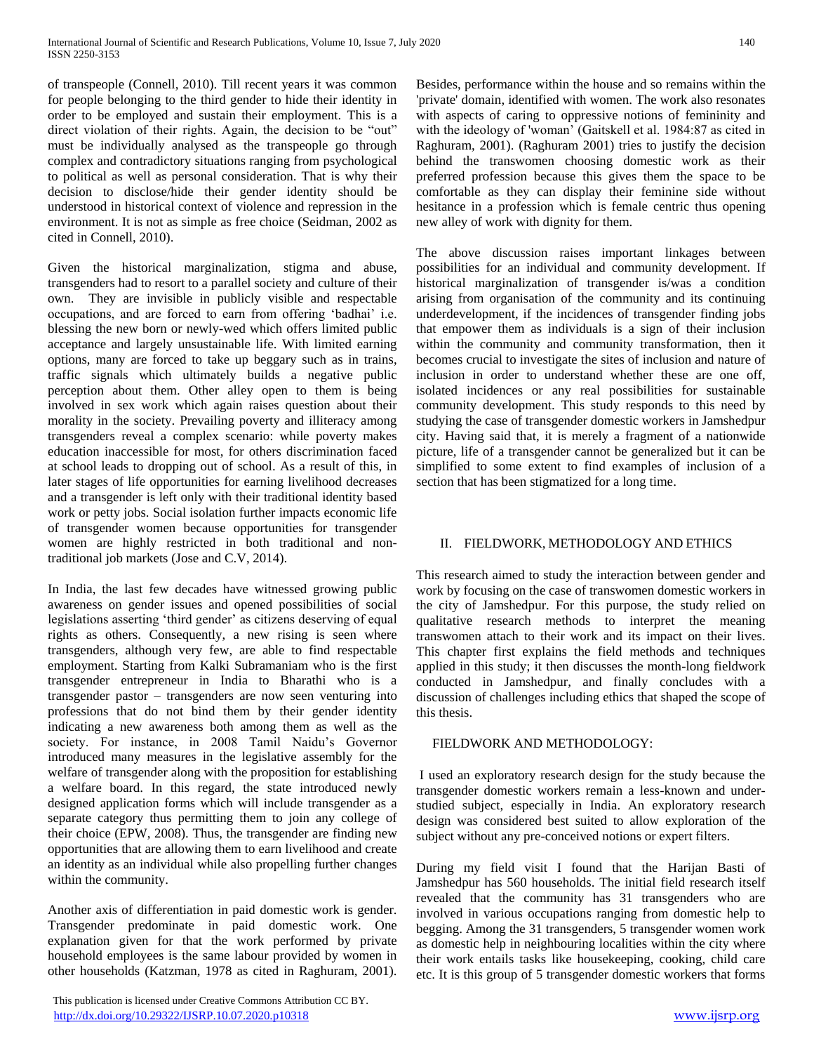of transpeople (Connell, 2010). Till recent years it was common for people belonging to the third gender to hide their identity in order to be employed and sustain their employment. This is a direct violation of their rights. Again, the decision to be "out" must be individually analysed as the transpeople go through complex and contradictory situations ranging from psychological to political as well as personal consideration. That is why their decision to disclose/hide their gender identity should be understood in historical context of violence and repression in the environment. It is not as simple as free choice (Seidman, 2002 as cited in Connell, 2010).

Given the historical marginalization, stigma and abuse, transgenders had to resort to a parallel society and culture of their own. They are invisible in publicly visible and respectable occupations, and are forced to earn from offering 'badhai' i.e. blessing the new born or newly-wed which offers limited public acceptance and largely unsustainable life. With limited earning options, many are forced to take up beggary such as in trains, traffic signals which ultimately builds a negative public perception about them. Other alley open to them is being involved in sex work which again raises question about their morality in the society. Prevailing poverty and illiteracy among transgenders reveal a complex scenario: while poverty makes education inaccessible for most, for others discrimination faced at school leads to dropping out of school. As a result of this, in later stages of life opportunities for earning livelihood decreases and a transgender is left only with their traditional identity based work or petty jobs. Social isolation further impacts economic life of transgender women because opportunities for transgender women are highly restricted in both traditional and nontraditional job markets (Jose and C.V, 2014).

In India, the last few decades have witnessed growing public awareness on gender issues and opened possibilities of social legislations asserting 'third gender' as citizens deserving of equal rights as others. Consequently, a new rising is seen where transgenders, although very few, are able to find respectable employment. Starting from Kalki Subramaniam who is the first transgender entrepreneur in India to Bharathi who is a transgender pastor – transgenders are now seen venturing into professions that do not bind them by their gender identity indicating a new awareness both among them as well as the society. For instance, in 2008 Tamil Naidu's Governor introduced many measures in the legislative assembly for the welfare of transgender along with the proposition for establishing a welfare board. In this regard, the state introduced newly designed application forms which will include transgender as a separate category thus permitting them to join any college of their choice (EPW, 2008). Thus, the transgender are finding new opportunities that are allowing them to earn livelihood and create an identity as an individual while also propelling further changes within the community.

Another axis of differentiation in paid domestic work is gender. Transgender predominate in paid domestic work. One explanation given for that the work performed by private household employees is the same labour provided by women in other households (Katzman, 1978 as cited in Raghuram, 2001).

 This publication is licensed under Creative Commons Attribution CC BY. http://dx.doi<u>.org/10.29322/IJSRP.10.07.2020.p10318</u> [www.ijsrp.org](http://ijsrp.org/)

Besides, performance within the house and so remains within the 'private' domain, identified with women. The work also resonates with aspects of caring to oppressive notions of femininity and with the ideology of 'woman' (Gaitskell et al. 1984:87 as cited in Raghuram, 2001). (Raghuram 2001) tries to justify the decision behind the transwomen choosing domestic work as their preferred profession because this gives them the space to be comfortable as they can display their feminine side without hesitance in a profession which is female centric thus opening new alley of work with dignity for them.

The above discussion raises important linkages between possibilities for an individual and community development. If historical marginalization of transgender is/was a condition arising from organisation of the community and its continuing underdevelopment, if the incidences of transgender finding jobs that empower them as individuals is a sign of their inclusion within the community and community transformation, then it becomes crucial to investigate the sites of inclusion and nature of inclusion in order to understand whether these are one off, isolated incidences or any real possibilities for sustainable community development. This study responds to this need by studying the case of transgender domestic workers in Jamshedpur city. Having said that, it is merely a fragment of a nationwide picture, life of a transgender cannot be generalized but it can be simplified to some extent to find examples of inclusion of a section that has been stigmatized for a long time.

#### II. FIELDWORK, METHODOLOGY AND ETHICS

This research aimed to study the interaction between gender and work by focusing on the case of transwomen domestic workers in the city of Jamshedpur. For this purpose, the study relied on qualitative research methods to interpret the meaning transwomen attach to their work and its impact on their lives. This chapter first explains the field methods and techniques applied in this study; it then discusses the month-long fieldwork conducted in Jamshedpur, and finally concludes with a discussion of challenges including ethics that shaped the scope of this thesis.

#### FIELDWORK AND METHODOLOGY:

I used an exploratory research design for the study because the transgender domestic workers remain a less-known and understudied subject, especially in India. An exploratory research design was considered best suited to allow exploration of the subject without any pre-conceived notions or expert filters.

During my field visit I found that the Harijan Basti of Jamshedpur has 560 households. The initial field research itself revealed that the community has 31 transgenders who are involved in various occupations ranging from domestic help to begging. Among the 31 transgenders, 5 transgender women work as domestic help in neighbouring localities within the city where their work entails tasks like housekeeping, cooking, child care etc. It is this group of 5 transgender domestic workers that forms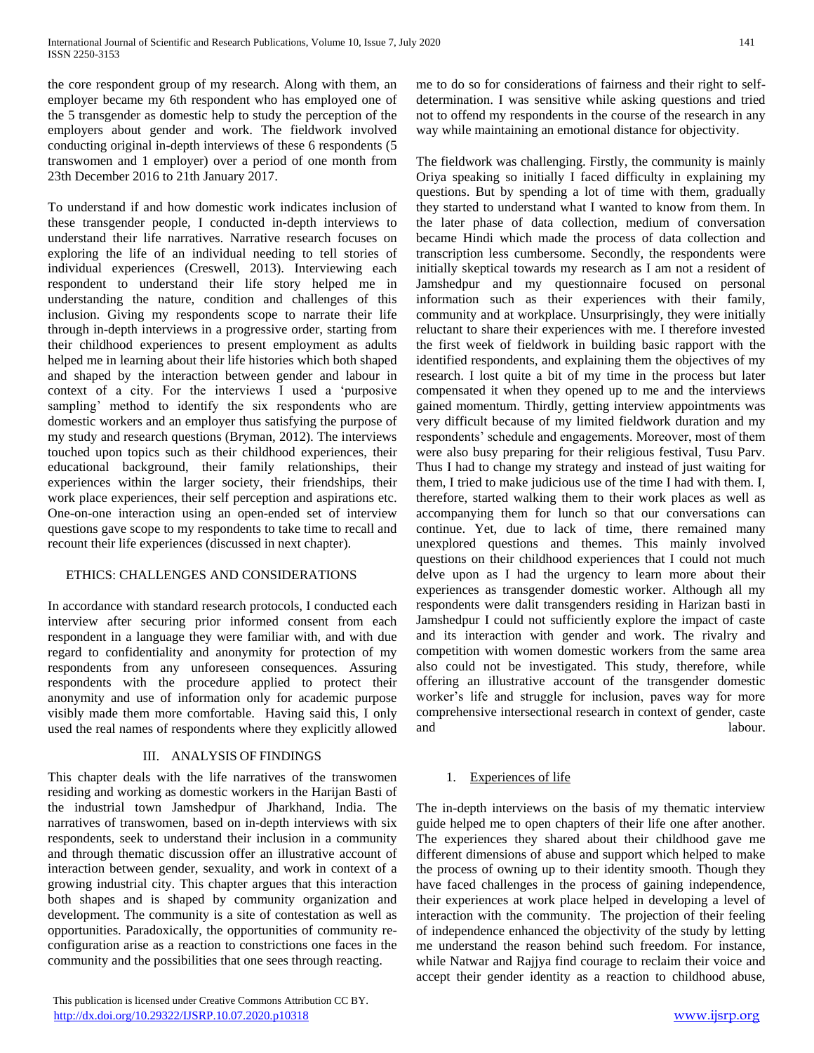the core respondent group of my research. Along with them, an employer became my 6th respondent who has employed one of the 5 transgender as domestic help to study the perception of the employers about gender and work. The fieldwork involved conducting original in-depth interviews of these 6 respondents (5 transwomen and 1 employer) over a period of one month from 23th December 2016 to 21th January 2017.

To understand if and how domestic work indicates inclusion of these transgender people, I conducted in-depth interviews to understand their life narratives. Narrative research focuses on exploring the life of an individual needing to tell stories of individual experiences (Creswell, 2013). Interviewing each respondent to understand their life story helped me in understanding the nature, condition and challenges of this inclusion. Giving my respondents scope to narrate their life through in-depth interviews in a progressive order, starting from their childhood experiences to present employment as adults helped me in learning about their life histories which both shaped and shaped by the interaction between gender and labour in context of a city. For the interviews I used a 'purposive sampling' method to identify the six respondents who are domestic workers and an employer thus satisfying the purpose of my study and research questions (Bryman, 2012). The interviews touched upon topics such as their childhood experiences, their educational background, their family relationships, their experiences within the larger society, their friendships, their work place experiences, their self perception and aspirations etc. One-on-one interaction using an open-ended set of interview questions gave scope to my respondents to take time to recall and recount their life experiences (discussed in next chapter).

### ETHICS: CHALLENGES AND CONSIDERATIONS

In accordance with standard research protocols, I conducted each interview after securing prior informed consent from each respondent in a language they were familiar with, and with due regard to confidentiality and anonymity for protection of my respondents from any unforeseen consequences. Assuring respondents with the procedure applied to protect their anonymity and use of information only for academic purpose visibly made them more comfortable. Having said this, I only used the real names of respondents where they explicitly allowed

### III. ANALYSIS OF FINDINGS

This chapter deals with the life narratives of the transwomen residing and working as domestic workers in the Harijan Basti of the industrial town Jamshedpur of Jharkhand, India. The narratives of transwomen, based on in-depth interviews with six respondents, seek to understand their inclusion in a community and through thematic discussion offer an illustrative account of interaction between gender, sexuality, and work in context of a growing industrial city. This chapter argues that this interaction both shapes and is shaped by community organization and development. The community is a site of contestation as well as opportunities. Paradoxically, the opportunities of community reconfiguration arise as a reaction to constrictions one faces in the community and the possibilities that one sees through reacting.

me to do so for considerations of fairness and their right to selfdetermination. I was sensitive while asking questions and tried not to offend my respondents in the course of the research in any way while maintaining an emotional distance for objectivity.

The fieldwork was challenging. Firstly, the community is mainly Oriya speaking so initially I faced difficulty in explaining my questions. But by spending a lot of time with them, gradually they started to understand what I wanted to know from them. In the later phase of data collection, medium of conversation became Hindi which made the process of data collection and transcription less cumbersome. Secondly, the respondents were initially skeptical towards my research as I am not a resident of Jamshedpur and my questionnaire focused on personal information such as their experiences with their family, community and at workplace. Unsurprisingly, they were initially reluctant to share their experiences with me. I therefore invested the first week of fieldwork in building basic rapport with the identified respondents, and explaining them the objectives of my research. I lost quite a bit of my time in the process but later compensated it when they opened up to me and the interviews gained momentum. Thirdly, getting interview appointments was very difficult because of my limited fieldwork duration and my respondents' schedule and engagements. Moreover, most of them were also busy preparing for their religious festival, Tusu Parv. Thus I had to change my strategy and instead of just waiting for them, I tried to make judicious use of the time I had with them. I, therefore, started walking them to their work places as well as accompanying them for lunch so that our conversations can continue. Yet, due to lack of time, there remained many unexplored questions and themes. This mainly involved questions on their childhood experiences that I could not much delve upon as I had the urgency to learn more about their experiences as transgender domestic worker. Although all my respondents were dalit transgenders residing in Harizan basti in Jamshedpur I could not sufficiently explore the impact of caste and its interaction with gender and work. The rivalry and competition with women domestic workers from the same area also could not be investigated. This study, therefore, while offering an illustrative account of the transgender domestic worker's life and struggle for inclusion, paves way for more comprehensive intersectional research in context of gender, caste and labour.

### 1. Experiences of life

The in-depth interviews on the basis of my thematic interview guide helped me to open chapters of their life one after another. The experiences they shared about their childhood gave me different dimensions of abuse and support which helped to make the process of owning up to their identity smooth. Though they have faced challenges in the process of gaining independence, their experiences at work place helped in developing a level of interaction with the community. The projection of their feeling of independence enhanced the objectivity of the study by letting me understand the reason behind such freedom. For instance, while Natwar and Rajjya find courage to reclaim their voice and accept their gender identity as a reaction to childhood abuse,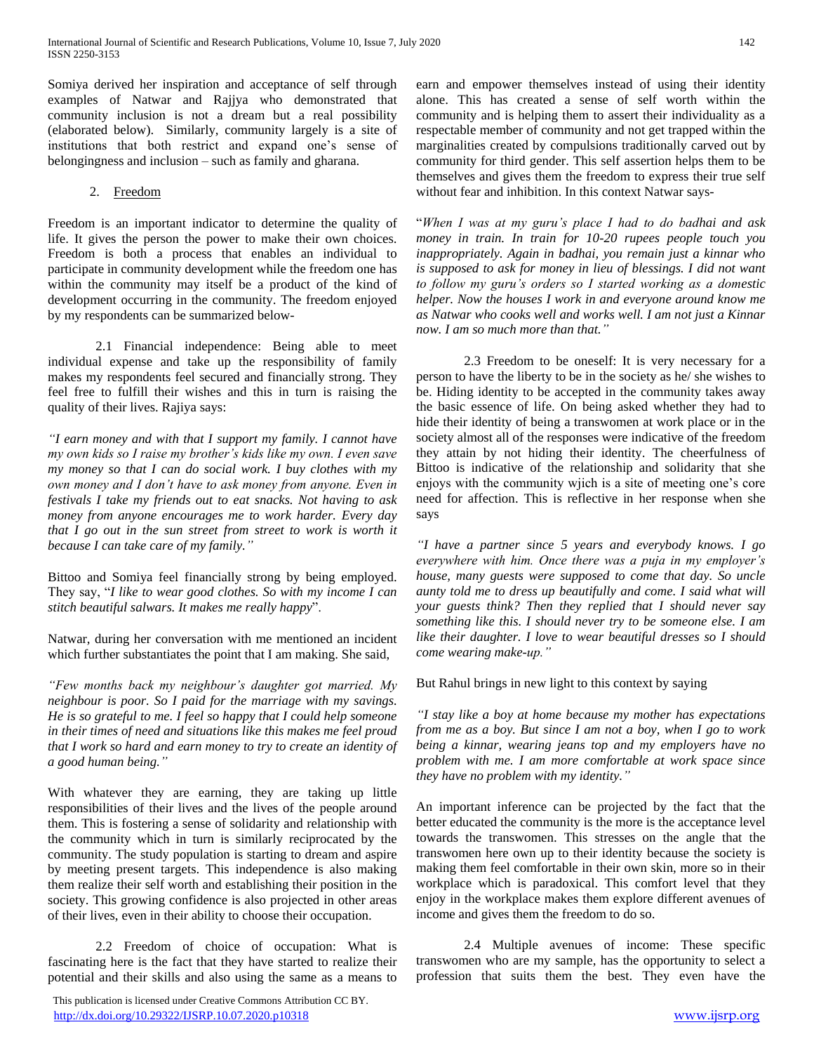Somiya derived her inspiration and acceptance of self through examples of Natwar and Rajjya who demonstrated that community inclusion is not a dream but a real possibility (elaborated below). Similarly, community largely is a site of institutions that both restrict and expand one's sense of belongingness and inclusion – such as family and gharana.

#### 2. Freedom

Freedom is an important indicator to determine the quality of life. It gives the person the power to make their own choices. Freedom is both a process that enables an individual to participate in community development while the freedom one has within the community may itself be a product of the kind of development occurring in the community. The freedom enjoyed by my respondents can be summarized below-

2.1 Financial independence: Being able to meet individual expense and take up the responsibility of family makes my respondents feel secured and financially strong. They feel free to fulfill their wishes and this in turn is raising the quality of their lives. Rajiya says:

*"I earn money and with that I support my family. I cannot have my own kids so I raise my brother's kids like my own. I even save my money so that I can do social work. I buy clothes with my own money and I don't have to ask money from anyone. Even in festivals I take my friends out to eat snacks. Not having to ask money from anyone encourages me to work harder. Every day that I go out in the sun street from street to work is worth it because I can take care of my family."*

Bittoo and Somiya feel financially strong by being employed. They say, "*I like to wear good clothes. So with my income I can stitch beautiful salwars. It makes me really happy*".

Natwar, during her conversation with me mentioned an incident which further substantiates the point that I am making. She said,

*"Few months back my neighbour's daughter got married. My neighbour is poor. So I paid for the marriage with my savings. He is so grateful to me. I feel so happy that I could help someone in their times of need and situations like this makes me feel proud that I work so hard and earn money to try to create an identity of a good human being."*

With whatever they are earning, they are taking up little responsibilities of their lives and the lives of the people around them. This is fostering a sense of solidarity and relationship with the community which in turn is similarly reciprocated by the community. The study population is starting to dream and aspire by meeting present targets. This independence is also making them realize their self worth and establishing their position in the society. This growing confidence is also projected in other areas of their lives, even in their ability to choose their occupation.

2.2 Freedom of choice of occupation: What is fascinating here is the fact that they have started to realize their potential and their skills and also using the same as a means to

 This publication is licensed under Creative Commons Attribution CC BY. <http://dx.doi.org/10.29322/IJSRP.10.07.2020.p10318> [www.ijsrp.org](http://ijsrp.org/)

earn and empower themselves instead of using their identity alone. This has created a sense of self worth within the community and is helping them to assert their individuality as a respectable member of community and not get trapped within the marginalities created by compulsions traditionally carved out by community for third gender. This self assertion helps them to be themselves and gives them the freedom to express their true self without fear and inhibition. In this context Natwar says-

"*When I was at my guru's place I had to do badhai and ask money in train. In train for 10-20 rupees people touch you inappropriately. Again in badhai, you remain just a kinnar who is supposed to ask for money in lieu of blessings. I did not want to follow my guru's orders so I started working as a domestic helper. Now the houses I work in and everyone around know me as Natwar who cooks well and works well. I am not just a Kinnar now. I am so much more than that."*

2.3 Freedom to be oneself: It is very necessary for a person to have the liberty to be in the society as he/ she wishes to be. Hiding identity to be accepted in the community takes away the basic essence of life. On being asked whether they had to hide their identity of being a transwomen at work place or in the society almost all of the responses were indicative of the freedom they attain by not hiding their identity. The cheerfulness of Bittoo is indicative of the relationship and solidarity that she enjoys with the community wjich is a site of meeting one's core need for affection. This is reflective in her response when she says

*"I have a partner since 5 years and everybody knows. I go everywhere with him. Once there was a puja in my employer's house, many guests were supposed to come that day. So uncle aunty told me to dress up beautifully and come. I said what will your guests think? Then they replied that I should never say something like this. I should never try to be someone else. I am like their daughter. I love to wear beautiful dresses so I should come wearing make-up."*

### But Rahul brings in new light to this context by saying

*"I stay like a boy at home because my mother has expectations from me as a boy. But since I am not a boy, when I go to work being a kinnar, wearing jeans top and my employers have no problem with me. I am more comfortable at work space since they have no problem with my identity."*

An important inference can be projected by the fact that the better educated the community is the more is the acceptance level towards the transwomen. This stresses on the angle that the transwomen here own up to their identity because the society is making them feel comfortable in their own skin, more so in their workplace which is paradoxical. This comfort level that they enjoy in the workplace makes them explore different avenues of income and gives them the freedom to do so.

2.4 Multiple avenues of income: These specific transwomen who are my sample, has the opportunity to select a profession that suits them the best. They even have the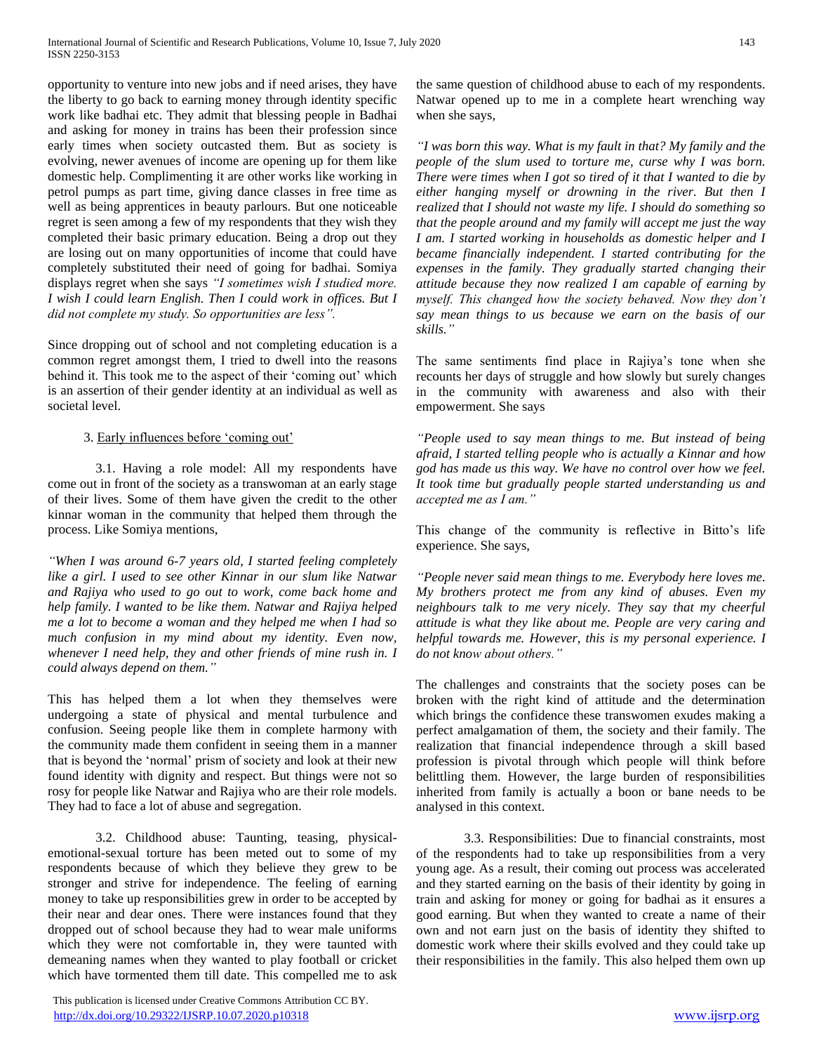opportunity to venture into new jobs and if need arises, they have the liberty to go back to earning money through identity specific work like badhai etc. They admit that blessing people in Badhai and asking for money in trains has been their profession since early times when society outcasted them. But as society is evolving, newer avenues of income are opening up for them like domestic help. Complimenting it are other works like working in petrol pumps as part time, giving dance classes in free time as well as being apprentices in beauty parlours. But one noticeable regret is seen among a few of my respondents that they wish they completed their basic primary education. Being a drop out they are losing out on many opportunities of income that could have completely substituted their need of going for badhai. Somiya displays regret when she says *"I sometimes wish I studied more. I wish I could learn English. Then I could work in offices. But I did not complete my study. So opportunities are less".*

Since dropping out of school and not completing education is a common regret amongst them, I tried to dwell into the reasons behind it. This took me to the aspect of their 'coming out' which is an assertion of their gender identity at an individual as well as societal level.

#### 3. Early influences before 'coming out'

3.1. Having a role model: All my respondents have come out in front of the society as a transwoman at an early stage of their lives. Some of them have given the credit to the other kinnar woman in the community that helped them through the process. Like Somiya mentions,

*"When I was around 6-7 years old, I started feeling completely like a girl. I used to see other Kinnar in our slum like Natwar and Rajiya who used to go out to work, come back home and help family. I wanted to be like them. Natwar and Rajiya helped me a lot to become a woman and they helped me when I had so much confusion in my mind about my identity. Even now, whenever I need help, they and other friends of mine rush in. I could always depend on them."*

This has helped them a lot when they themselves were undergoing a state of physical and mental turbulence and confusion. Seeing people like them in complete harmony with the community made them confident in seeing them in a manner that is beyond the 'normal' prism of society and look at their new found identity with dignity and respect. But things were not so rosy for people like Natwar and Rajiya who are their role models. They had to face a lot of abuse and segregation.

3.2. Childhood abuse: Taunting, teasing, physicalemotional-sexual torture has been meted out to some of my respondents because of which they believe they grew to be stronger and strive for independence. The feeling of earning money to take up responsibilities grew in order to be accepted by their near and dear ones. There were instances found that they dropped out of school because they had to wear male uniforms which they were not comfortable in, they were taunted with demeaning names when they wanted to play football or cricket which have tormented them till date. This compelled me to ask

 This publication is licensed under Creative Commons Attribution CC BY. <http://dx.doi.org/10.29322/IJSRP.10.07.2020.p10318> [www.ijsrp.org](http://ijsrp.org/)

the same question of childhood abuse to each of my respondents. Natwar opened up to me in a complete heart wrenching way when she says,

*"I was born this way. What is my fault in that? My family and the people of the slum used to torture me, curse why I was born. There were times when I got so tired of it that I wanted to die by either hanging myself or drowning in the river. But then I realized that I should not waste my life. I should do something so that the people around and my family will accept me just the way I am. I started working in households as domestic helper and I became financially independent. I started contributing for the expenses in the family. They gradually started changing their attitude because they now realized I am capable of earning by myself. This changed how the society behaved. Now they don't say mean things to us because we earn on the basis of our skills."*

The same sentiments find place in Rajiya's tone when she recounts her days of struggle and how slowly but surely changes in the community with awareness and also with their empowerment. She says

*"People used to say mean things to me. But instead of being afraid, I started telling people who is actually a Kinnar and how god has made us this way. We have no control over how we feel. It took time but gradually people started understanding us and accepted me as I am."*

This change of the community is reflective in Bitto's life experience. She says,

*"People never said mean things to me. Everybody here loves me. My brothers protect me from any kind of abuses. Even my neighbours talk to me very nicely. They say that my cheerful attitude is what they like about me. People are very caring and helpful towards me. However, this is my personal experience. I do not know about others."*

The challenges and constraints that the society poses can be broken with the right kind of attitude and the determination which brings the confidence these transwomen exudes making a perfect amalgamation of them, the society and their family. The realization that financial independence through a skill based profession is pivotal through which people will think before belittling them. However, the large burden of responsibilities inherited from family is actually a boon or bane needs to be analysed in this context.

3.3. Responsibilities: Due to financial constraints, most of the respondents had to take up responsibilities from a very young age. As a result, their coming out process was accelerated and they started earning on the basis of their identity by going in train and asking for money or going for badhai as it ensures a good earning. But when they wanted to create a name of their own and not earn just on the basis of identity they shifted to domestic work where their skills evolved and they could take up their responsibilities in the family. This also helped them own up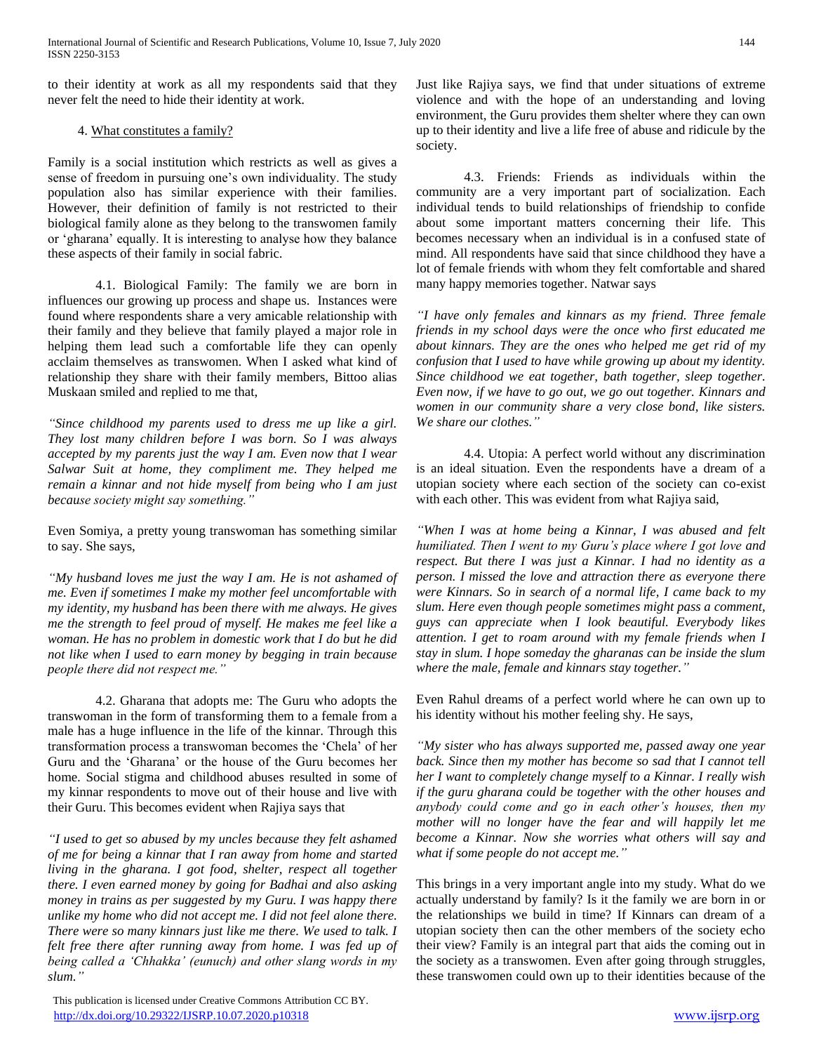to their identity at work as all my respondents said that they never felt the need to hide their identity at work.

#### 4. What constitutes a family?

Family is a social institution which restricts as well as gives a sense of freedom in pursuing one's own individuality. The study population also has similar experience with their families. However, their definition of family is not restricted to their biological family alone as they belong to the transwomen family or 'gharana' equally. It is interesting to analyse how they balance these aspects of their family in social fabric.

4.1. Biological Family: The family we are born in influences our growing up process and shape us. Instances were found where respondents share a very amicable relationship with their family and they believe that family played a major role in helping them lead such a comfortable life they can openly acclaim themselves as transwomen. When I asked what kind of relationship they share with their family members, Bittoo alias Muskaan smiled and replied to me that,

*"Since childhood my parents used to dress me up like a girl. They lost many children before I was born. So I was always accepted by my parents just the way I am. Even now that I wear Salwar Suit at home, they compliment me. They helped me remain a kinnar and not hide myself from being who I am just because society might say something."*

Even Somiya, a pretty young transwoman has something similar to say. She says,

*"My husband loves me just the way I am. He is not ashamed of me. Even if sometimes I make my mother feel uncomfortable with my identity, my husband has been there with me always. He gives me the strength to feel proud of myself. He makes me feel like a woman. He has no problem in domestic work that I do but he did not like when I used to earn money by begging in train because people there did not respect me."*

4.2. Gharana that adopts me: The Guru who adopts the transwoman in the form of transforming them to a female from a male has a huge influence in the life of the kinnar. Through this transformation process a transwoman becomes the 'Chela' of her Guru and the 'Gharana' or the house of the Guru becomes her home. Social stigma and childhood abuses resulted in some of my kinnar respondents to move out of their house and live with their Guru. This becomes evident when Rajiya says that

*"I used to get so abused by my uncles because they felt ashamed of me for being a kinnar that I ran away from home and started living in the gharana. I got food, shelter, respect all together there. I even earned money by going for Badhai and also asking money in trains as per suggested by my Guru. I was happy there unlike my home who did not accept me. I did not feel alone there. There were so many kinnars just like me there. We used to talk. I felt free there after running away from home. I was fed up of being called a 'Chhakka' (eunuch) and other slang words in my slum."*

 This publication is licensed under Creative Commons Attribution CC BY. <http://dx.doi.org/10.29322/IJSRP.10.07.2020.p10318> [www.ijsrp.org](http://ijsrp.org/)

Just like Rajiya says, we find that under situations of extreme violence and with the hope of an understanding and loving environment, the Guru provides them shelter where they can own up to their identity and live a life free of abuse and ridicule by the society.

4.3. Friends: Friends as individuals within the community are a very important part of socialization. Each individual tends to build relationships of friendship to confide about some important matters concerning their life. This becomes necessary when an individual is in a confused state of mind. All respondents have said that since childhood they have a lot of female friends with whom they felt comfortable and shared many happy memories together. Natwar says

*"I have only females and kinnars as my friend. Three female friends in my school days were the once who first educated me about kinnars. They are the ones who helped me get rid of my confusion that I used to have while growing up about my identity. Since childhood we eat together, bath together, sleep together. Even now, if we have to go out, we go out together. Kinnars and women in our community share a very close bond, like sisters. We share our clothes."*

4.4. Utopia: A perfect world without any discrimination is an ideal situation. Even the respondents have a dream of a utopian society where each section of the society can co-exist with each other. This was evident from what Rajiya said,

*"When I was at home being a Kinnar, I was abused and felt humiliated. Then I went to my Guru's place where I got love and respect. But there I was just a Kinnar. I had no identity as a person. I missed the love and attraction there as everyone there were Kinnars. So in search of a normal life, I came back to my slum. Here even though people sometimes might pass a comment, guys can appreciate when I look beautiful. Everybody likes attention. I get to roam around with my female friends when I stay in slum. I hope someday the gharanas can be inside the slum where the male, female and kinnars stay together."*

Even Rahul dreams of a perfect world where he can own up to his identity without his mother feeling shy. He says,

*"My sister who has always supported me, passed away one year back. Since then my mother has become so sad that I cannot tell her I want to completely change myself to a Kinnar. I really wish if the guru gharana could be together with the other houses and anybody could come and go in each other's houses, then my mother will no longer have the fear and will happily let me become a Kinnar. Now she worries what others will say and what if some people do not accept me."*

This brings in a very important angle into my study. What do we actually understand by family? Is it the family we are born in or the relationships we build in time? If Kinnars can dream of a utopian society then can the other members of the society echo their view? Family is an integral part that aids the coming out in the society as a transwomen. Even after going through struggles, these transwomen could own up to their identities because of the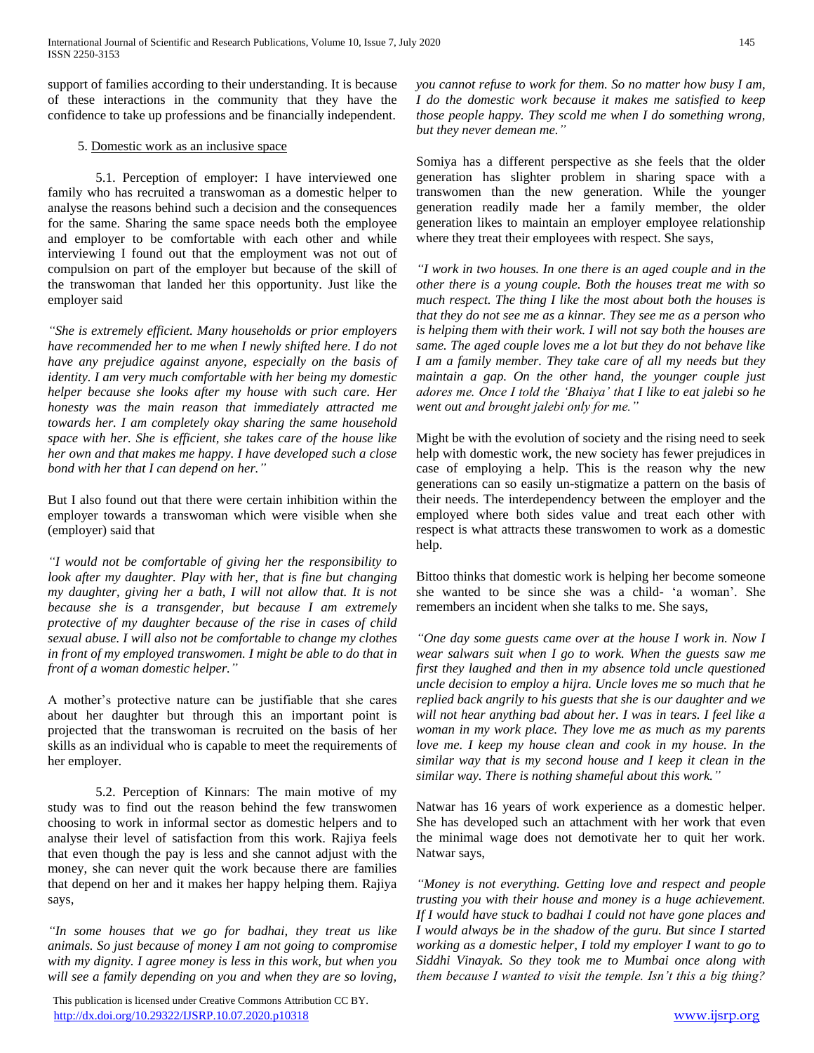support of families according to their understanding. It is because of these interactions in the community that they have the confidence to take up professions and be financially independent.

#### 5. Domestic work as an inclusive space

5.1. Perception of employer: I have interviewed one family who has recruited a transwoman as a domestic helper to analyse the reasons behind such a decision and the consequences for the same. Sharing the same space needs both the employee and employer to be comfortable with each other and while interviewing I found out that the employment was not out of compulsion on part of the employer but because of the skill of the transwoman that landed her this opportunity. Just like the employer said

*"She is extremely efficient. Many households or prior employers have recommended her to me when I newly shifted here. I do not have any prejudice against anyone, especially on the basis of identity. I am very much comfortable with her being my domestic helper because she looks after my house with such care. Her honesty was the main reason that immediately attracted me towards her. I am completely okay sharing the same household space with her. She is efficient, she takes care of the house like her own and that makes me happy. I have developed such a close bond with her that I can depend on her."*

But I also found out that there were certain inhibition within the employer towards a transwoman which were visible when she (employer) said that

*"I would not be comfortable of giving her the responsibility to look after my daughter. Play with her, that is fine but changing my daughter, giving her a bath, I will not allow that. It is not because she is a transgender, but because I am extremely protective of my daughter because of the rise in cases of child sexual abuse. I will also not be comfortable to change my clothes in front of my employed transwomen. I might be able to do that in front of a woman domestic helper."*

A mother's protective nature can be justifiable that she cares about her daughter but through this an important point is projected that the transwoman is recruited on the basis of her skills as an individual who is capable to meet the requirements of her employer.

5.2. Perception of Kinnars: The main motive of my study was to find out the reason behind the few transwomen choosing to work in informal sector as domestic helpers and to analyse their level of satisfaction from this work. Rajiya feels that even though the pay is less and she cannot adjust with the money, she can never quit the work because there are families that depend on her and it makes her happy helping them. Rajiya says,

*"In some houses that we go for badhai, they treat us like animals. So just because of money I am not going to compromise with my dignity. I agree money is less in this work, but when you will see a family depending on you and when they are so loving,* 

 This publication is licensed under Creative Commons Attribution CC BY. <http://dx.doi.org/10.29322/IJSRP.10.07.2020.p10318> [www.ijsrp.org](http://ijsrp.org/)

*you cannot refuse to work for them. So no matter how busy I am, I do the domestic work because it makes me satisfied to keep those people happy. They scold me when I do something wrong, but they never demean me."*

Somiya has a different perspective as she feels that the older generation has slighter problem in sharing space with a transwomen than the new generation. While the younger generation readily made her a family member, the older generation likes to maintain an employer employee relationship where they treat their employees with respect. She says,

*"I work in two houses. In one there is an aged couple and in the other there is a young couple. Both the houses treat me with so much respect. The thing I like the most about both the houses is that they do not see me as a kinnar. They see me as a person who is helping them with their work. I will not say both the houses are same. The aged couple loves me a lot but they do not behave like I am a family member. They take care of all my needs but they maintain a gap. On the other hand, the younger couple just adores me. Once I told the 'Bhaiya' that I like to eat jalebi so he went out and brought jalebi only for me."*

Might be with the evolution of society and the rising need to seek help with domestic work, the new society has fewer prejudices in case of employing a help. This is the reason why the new generations can so easily un-stigmatize a pattern on the basis of their needs. The interdependency between the employer and the employed where both sides value and treat each other with respect is what attracts these transwomen to work as a domestic help.

Bittoo thinks that domestic work is helping her become someone she wanted to be since she was a child- 'a woman'. She remembers an incident when she talks to me. She says,

*"One day some guests came over at the house I work in. Now I wear salwars suit when I go to work. When the guests saw me first they laughed and then in my absence told uncle questioned uncle decision to employ a hijra. Uncle loves me so much that he replied back angrily to his guests that she is our daughter and we will not hear anything bad about her. I was in tears. I feel like a woman in my work place. They love me as much as my parents love me. I keep my house clean and cook in my house. In the similar way that is my second house and I keep it clean in the similar way. There is nothing shameful about this work."*

Natwar has 16 years of work experience as a domestic helper. She has developed such an attachment with her work that even the minimal wage does not demotivate her to quit her work. Natwar says,

*"Money is not everything. Getting love and respect and people trusting you with their house and money is a huge achievement. If I would have stuck to badhai I could not have gone places and I would always be in the shadow of the guru. But since I started working as a domestic helper, I told my employer I want to go to Siddhi Vinayak. So they took me to Mumbai once along with them because I wanted to visit the temple. Isn't this a big thing?*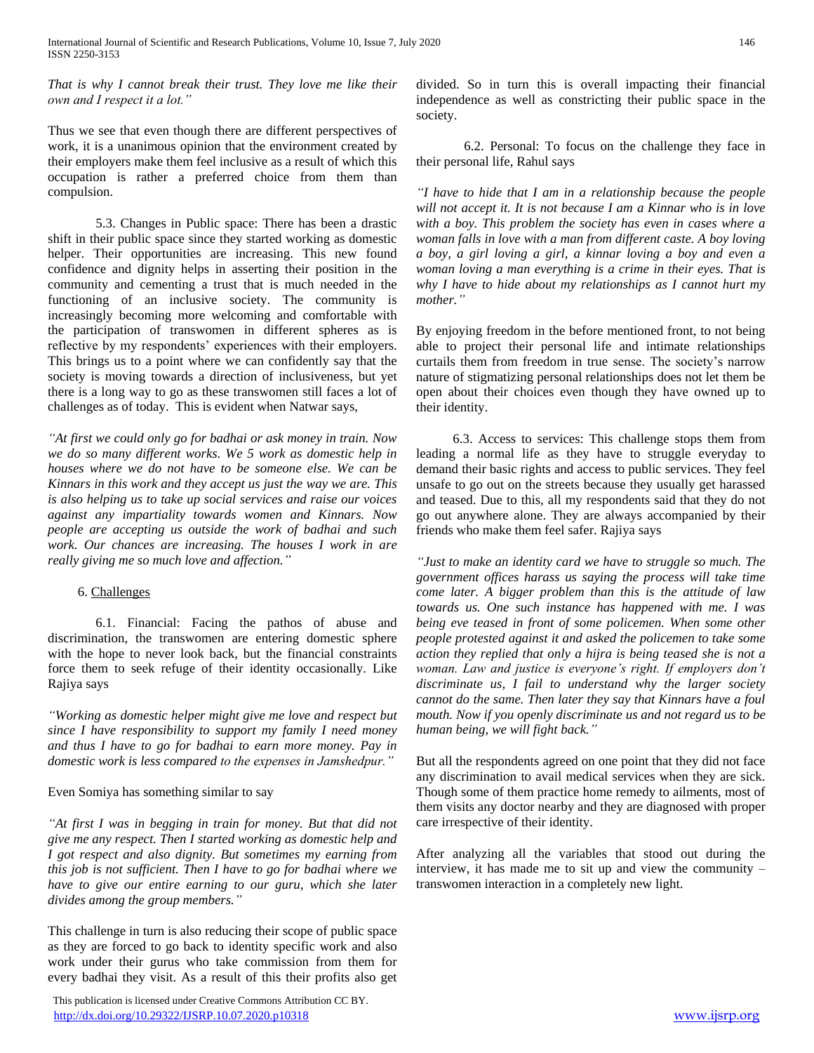*That is why I cannot break their trust. They love me like their own and I respect it a lot."*

Thus we see that even though there are different perspectives of work, it is a unanimous opinion that the environment created by their employers make them feel inclusive as a result of which this occupation is rather a preferred choice from them than compulsion.

5.3. Changes in Public space: There has been a drastic shift in their public space since they started working as domestic helper. Their opportunities are increasing. This new found confidence and dignity helps in asserting their position in the community and cementing a trust that is much needed in the functioning of an inclusive society. The community is increasingly becoming more welcoming and comfortable with the participation of transwomen in different spheres as is reflective by my respondents' experiences with their employers. This brings us to a point where we can confidently say that the society is moving towards a direction of inclusiveness, but yet there is a long way to go as these transwomen still faces a lot of challenges as of today. This is evident when Natwar says,

*"At first we could only go for badhai or ask money in train. Now we do so many different works. We 5 work as domestic help in houses where we do not have to be someone else. We can be Kinnars in this work and they accept us just the way we are. This is also helping us to take up social services and raise our voices against any impartiality towards women and Kinnars. Now people are accepting us outside the work of badhai and such work. Our chances are increasing. The houses I work in are really giving me so much love and affection."*

### 6. Challenges

6.1. Financial: Facing the pathos of abuse and discrimination, the transwomen are entering domestic sphere with the hope to never look back, but the financial constraints force them to seek refuge of their identity occasionally. Like Rajiya says

*"Working as domestic helper might give me love and respect but since I have responsibility to support my family I need money and thus I have to go for badhai to earn more money. Pay in domestic work is less compared to the expenses in Jamshedpur."*

### Even Somiya has something similar to say

*"At first I was in begging in train for money. But that did not give me any respect. Then I started working as domestic help and I got respect and also dignity. But sometimes my earning from this job is not sufficient. Then I have to go for badhai where we have to give our entire earning to our guru, which she later divides among the group members."*

This challenge in turn is also reducing their scope of public space as they are forced to go back to identity specific work and also work under their gurus who take commission from them for every badhai they visit. As a result of this their profits also get

 This publication is licensed under Creative Commons Attribution CC BY. <http://dx.doi.org/10.29322/IJSRP.10.07.2020.p10318> [www.ijsrp.org](http://ijsrp.org/)

divided. So in turn this is overall impacting their financial independence as well as constricting their public space in the society.

6.2. Personal: To focus on the challenge they face in their personal life, Rahul says

*"I have to hide that I am in a relationship because the people will not accept it. It is not because I am a Kinnar who is in love with a boy. This problem the society has even in cases where a woman falls in love with a man from different caste. A boy loving a boy, a girl loving a girl, a kinnar loving a boy and even a woman loving a man everything is a crime in their eyes. That is why I have to hide about my relationships as I cannot hurt my mother."*

By enjoying freedom in the before mentioned front, to not being able to project their personal life and intimate relationships curtails them from freedom in true sense. The society's narrow nature of stigmatizing personal relationships does not let them be open about their choices even though they have owned up to their identity.

 6.3. Access to services: This challenge stops them from leading a normal life as they have to struggle everyday to demand their basic rights and access to public services. They feel unsafe to go out on the streets because they usually get harassed and teased. Due to this, all my respondents said that they do not go out anywhere alone. They are always accompanied by their friends who make them feel safer. Rajiya says

*"Just to make an identity card we have to struggle so much. The government offices harass us saying the process will take time come later. A bigger problem than this is the attitude of law towards us. One such instance has happened with me. I was being eve teased in front of some policemen. When some other people protested against it and asked the policemen to take some action they replied that only a hijra is being teased she is not a woman. Law and justice is everyone's right. If employers don't discriminate us, I fail to understand why the larger society cannot do the same. Then later they say that Kinnars have a foul mouth. Now if you openly discriminate us and not regard us to be human being, we will fight back."*

But all the respondents agreed on one point that they did not face any discrimination to avail medical services when they are sick. Though some of them practice home remedy to ailments, most of them visits any doctor nearby and they are diagnosed with proper care irrespective of their identity.

After analyzing all the variables that stood out during the interview, it has made me to sit up and view the community – transwomen interaction in a completely new light.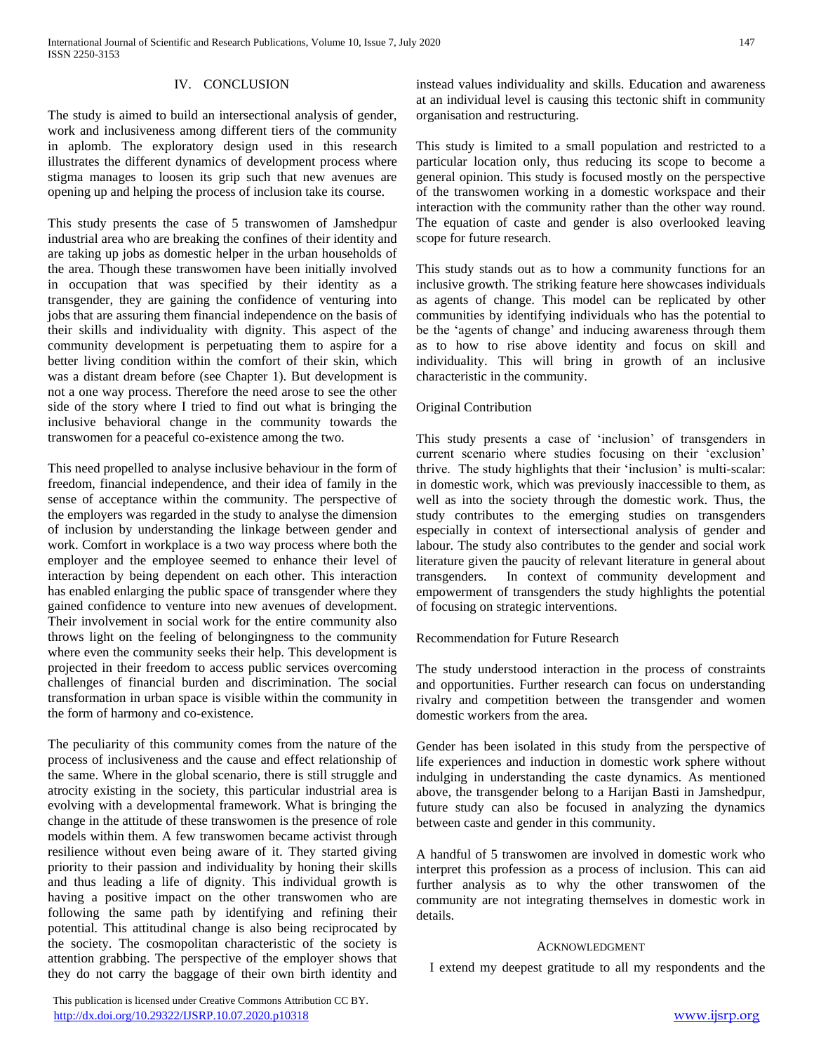#### IV. CONCLUSION

The study is aimed to build an intersectional analysis of gender, work and inclusiveness among different tiers of the community in aplomb. The exploratory design used in this research illustrates the different dynamics of development process where stigma manages to loosen its grip such that new avenues are opening up and helping the process of inclusion take its course.

This study presents the case of 5 transwomen of Jamshedpur industrial area who are breaking the confines of their identity and are taking up jobs as domestic helper in the urban households of the area. Though these transwomen have been initially involved in occupation that was specified by their identity as a transgender, they are gaining the confidence of venturing into jobs that are assuring them financial independence on the basis of their skills and individuality with dignity. This aspect of the community development is perpetuating them to aspire for a better living condition within the comfort of their skin, which was a distant dream before (see Chapter 1). But development is not a one way process. Therefore the need arose to see the other side of the story where I tried to find out what is bringing the inclusive behavioral change in the community towards the transwomen for a peaceful co-existence among the two.

This need propelled to analyse inclusive behaviour in the form of freedom, financial independence, and their idea of family in the sense of acceptance within the community. The perspective of the employers was regarded in the study to analyse the dimension of inclusion by understanding the linkage between gender and work. Comfort in workplace is a two way process where both the employer and the employee seemed to enhance their level of interaction by being dependent on each other. This interaction has enabled enlarging the public space of transgender where they gained confidence to venture into new avenues of development. Their involvement in social work for the entire community also throws light on the feeling of belongingness to the community where even the community seeks their help. This development is projected in their freedom to access public services overcoming challenges of financial burden and discrimination. The social transformation in urban space is visible within the community in the form of harmony and co-existence.

The peculiarity of this community comes from the nature of the process of inclusiveness and the cause and effect relationship of the same. Where in the global scenario, there is still struggle and atrocity existing in the society, this particular industrial area is evolving with a developmental framework. What is bringing the change in the attitude of these transwomen is the presence of role models within them. A few transwomen became activist through resilience without even being aware of it. They started giving priority to their passion and individuality by honing their skills and thus leading a life of dignity. This individual growth is having a positive impact on the other transwomen who are following the same path by identifying and refining their potential. This attitudinal change is also being reciprocated by the society. The cosmopolitan characteristic of the society is attention grabbing. The perspective of the employer shows that they do not carry the baggage of their own birth identity and instead values individuality and skills. Education and awareness at an individual level is causing this tectonic shift in community organisation and restructuring.

This study is limited to a small population and restricted to a particular location only, thus reducing its scope to become a general opinion. This study is focused mostly on the perspective of the transwomen working in a domestic workspace and their interaction with the community rather than the other way round. The equation of caste and gender is also overlooked leaving scope for future research.

This study stands out as to how a community functions for an inclusive growth. The striking feature here showcases individuals as agents of change. This model can be replicated by other communities by identifying individuals who has the potential to be the 'agents of change' and inducing awareness through them as to how to rise above identity and focus on skill and individuality. This will bring in growth of an inclusive characteristic in the community.

#### Original Contribution

This study presents a case of 'inclusion' of transgenders in current scenario where studies focusing on their 'exclusion' thrive. The study highlights that their 'inclusion' is multi-scalar: in domestic work, which was previously inaccessible to them, as well as into the society through the domestic work. Thus, the study contributes to the emerging studies on transgenders especially in context of intersectional analysis of gender and labour. The study also contributes to the gender and social work literature given the paucity of relevant literature in general about transgenders. In context of community development and empowerment of transgenders the study highlights the potential of focusing on strategic interventions.

Recommendation for Future Research

The study understood interaction in the process of constraints and opportunities. Further research can focus on understanding rivalry and competition between the transgender and women domestic workers from the area.

Gender has been isolated in this study from the perspective of life experiences and induction in domestic work sphere without indulging in understanding the caste dynamics. As mentioned above, the transgender belong to a Harijan Basti in Jamshedpur, future study can also be focused in analyzing the dynamics between caste and gender in this community.

A handful of 5 transwomen are involved in domestic work who interpret this profession as a process of inclusion. This can aid further analysis as to why the other transwomen of the community are not integrating themselves in domestic work in details.

#### ACKNOWLEDGMENT

I extend my deepest gratitude to all my respondents and the